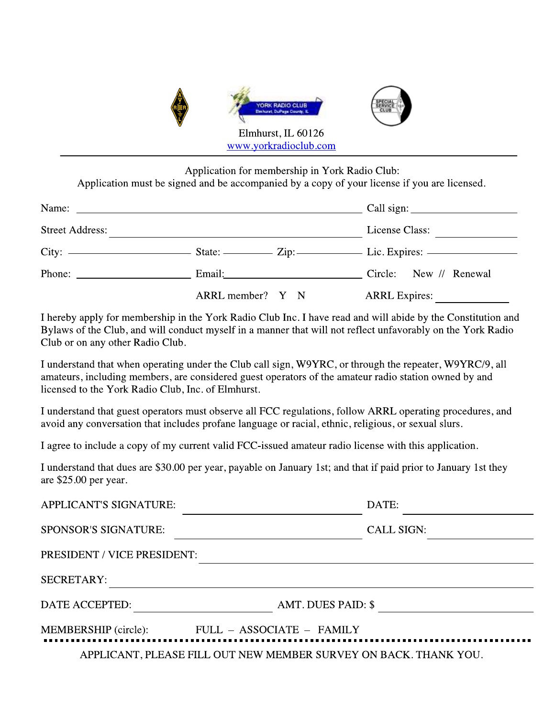

Application for membership in York Radio Club:

Application must be signed and be accompanied by a copy of your license if you are licensed.

| <b>Street Address:</b>                                                                                                                                                                                                                                                                                                                                                                                                                            |                               | License Class:       |
|---------------------------------------------------------------------------------------------------------------------------------------------------------------------------------------------------------------------------------------------------------------------------------------------------------------------------------------------------------------------------------------------------------------------------------------------------|-------------------------------|----------------------|
|                                                                                                                                                                                                                                                                                                                                                                                                                                                   |                               |                      |
| Phone: $\frac{1}{\sqrt{1-\frac{1}{2}} \cdot \frac{1}{2} \cdot \frac{1}{2} \cdot \frac{1}{2} \cdot \frac{1}{2} \cdot \frac{1}{2} \cdot \frac{1}{2} \cdot \frac{1}{2} \cdot \frac{1}{2} \cdot \frac{1}{2} \cdot \frac{1}{2} \cdot \frac{1}{2} \cdot \frac{1}{2} \cdot \frac{1}{2} \cdot \frac{1}{2} \cdot \frac{1}{2} \cdot \frac{1}{2} \cdot \frac{1}{2} \cdot \frac{1}{2} \cdot \frac{1}{2} \cdot \frac{1}{2} \cdot \frac{1}{2} \cdot \frac{1}{2$ | Email: Circle: New // Renewal |                      |
|                                                                                                                                                                                                                                                                                                                                                                                                                                                   | $ARRL$ member? $Y \times N$   | <b>ARRL</b> Expires: |

I hereby apply for membership in the York Radio Club Inc. I have read and will abide by the Constitution and Bylaws of the Club, and will conduct myself in a manner that will not reflect unfavorably on the York Radio Club or on any other Radio Club.

I understand that when operating under the Club call sign, W9YRC, or through the repeater, W9YRC/9, all amateurs, including members, are considered guest operators of the amateur radio station owned by and licensed to the York Radio Club, Inc. of Elmhurst.

I understand that guest operators must observe all FCC regulations, follow ARRL operating procedures, and avoid any conversation that includes profane language or racial, ethnic, religious, or sexual slurs.

I agree to include a copy of my current valid FCC-issued amateur radio license with this application.

I understand that dues are \$30.00 per year, payable on January 1st; and that if paid prior to January 1st they are  $$25.00$  per year.

| <b>APPLICANT'S SIGNATURE:</b> | DATE:                                                            |
|-------------------------------|------------------------------------------------------------------|
| <b>SPONSOR'S SIGNATURE:</b>   | <b>CALL SIGN:</b>                                                |
| PRESIDENT / VICE PRESIDENT:   |                                                                  |
| <b>SECRETARY:</b>             |                                                                  |
| DATE ACCEPTED:                | AMT. DUES PAID: \$                                               |
| MEMBERSHIP (circle):          | FULL - ASSOCIATE - FAMILY                                        |
|                               | APPLICANT, PLEASE FILL OUT NEW MEMBER SURVEY ON BACK. THANK YOU. |